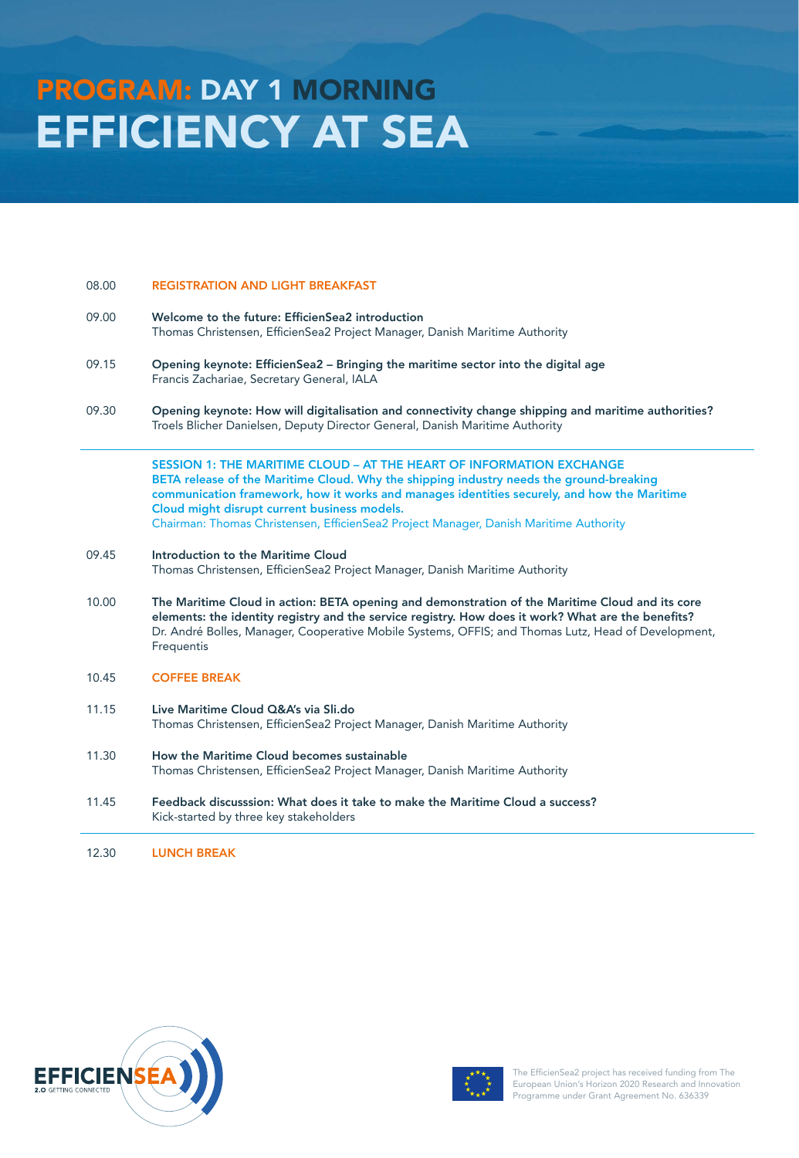# PROGRAM: DAY 1 MORNING EFFICIENCY AT SEA

### 08.00 REGISTRATION AND LIGHT BREAKFAST

- 09.00 Welcome to the future: EfficienSea2 introduction Thomas Christensen, EfficienSea2 Project Manager, Danish Maritime Authority
- 09.15 Opening keynote: EfficienSea2 Bringing the maritime sector into the digital age Francis Zachariae, Secretary General, IALA
- 09.30 Opening keynote: How will digitalisation and connectivity change shipping and maritime authorities? Troels Blicher Danielsen, Deputy Director General, Danish Maritime Authority

SESSION 1: THE MARITIME CLOUD – AT THE HEART OF INFORMATION EXCHANGE BETA release of the Maritime Cloud. Why the shipping industry needs the ground-breaking communication framework, how it works and manages identities securely, and how the Maritime Cloud might disrupt current business models. Chairman: Thomas Christensen, EfficienSea2 Project Manager, Danish Maritime Authority

- 09.45 Introduction to the Maritime Cloud Thomas Christensen, EfficienSea2 Project Manager, Danish Maritime Authority
- 10.00 The Maritime Cloud in action: BETA opening and demonstration of the Maritime Cloud and its core elements: the identity registry and the service registry. How does it work? What are the benefits? Dr. André Bolles, Manager, Cooperative Mobile Systems, OFFIS; and Thomas Lutz, Head of Development, **Frequentis**
- 10.45 COFFEE BREAK
- 11.15 Live Maritime Cloud Q&A's via Sli.do Thomas Christensen, EfficienSea2 Project Manager, Danish Maritime Authority
- 11.30 How the Maritime Cloud becomes sustainable Thomas Christensen, EfficienSea2 Project Manager, Danish Maritime Authority
- 11.45 Feedback discusssion: What does it take to make the Maritime Cloud a success? Kick-started by three key stakeholders

12.30 LUNCH BREAK





The EfficienSea2 project has received funding from The European Union's Horizon 2020 Research and Innovation Programme under Grant Agreement No. 636339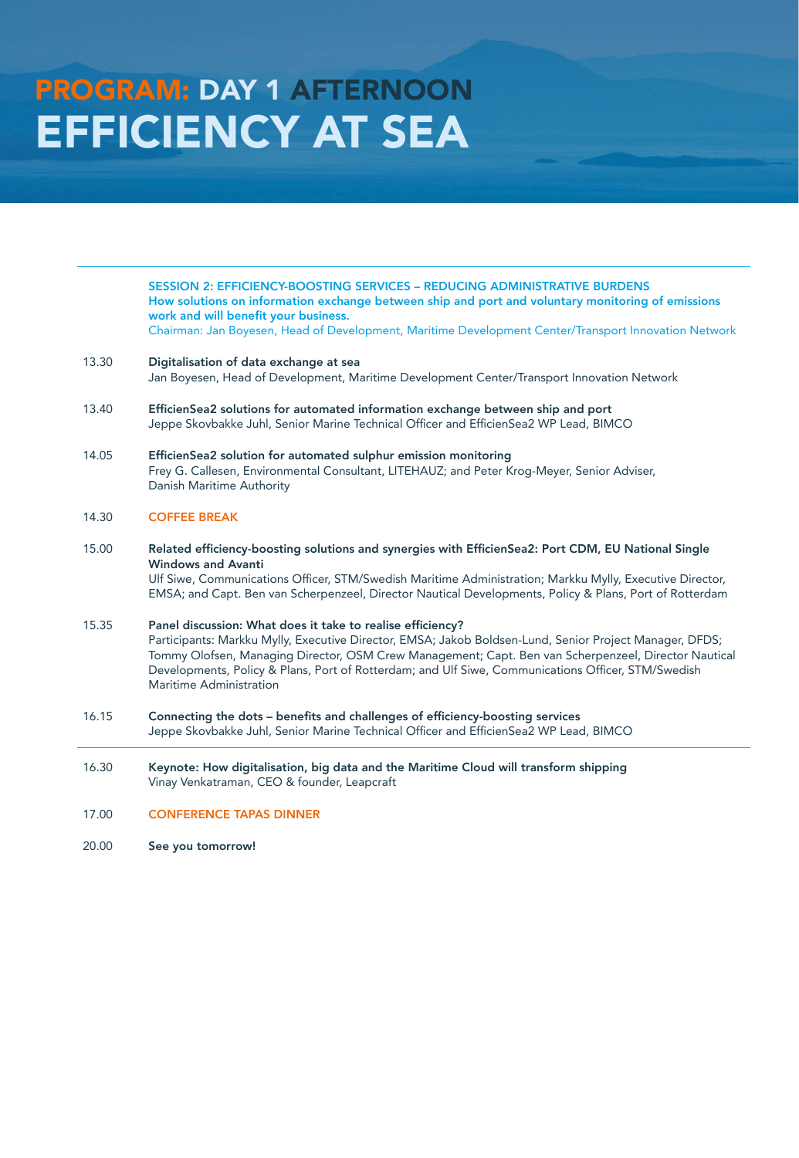# PROGRAM: DAY 1 AFTERNOON EFFICIENCY AT SEA

SESSION 2: EFFICIENCY-BOOSTING SERVICES – REDUCING ADMINISTRATIVE BURDENS How solutions on information exchange between ship and port and voluntary monitoring of emissions work and will benefit your business. Chairman: Jan Boyesen, Head of Development, Maritime Development Center/Transport Innovation Network

- 13.30 Digitalisation of data exchange at sea Jan Boyesen, Head of Development, Maritime Development Center/Transport Innovation Network
- 13.40 EfficienSea2 solutions for automated information exchange between ship and port Jeppe Skovbakke Juhl, Senior Marine Technical Officer and EfficienSea2 WP Lead, BIMCO
- 14.05 EfficienSea2 solution for automated sulphur emission monitoring Frey G. Callesen, Environmental Consultant, LITEHAUZ; and Peter Krog-Meyer, Senior Adviser, Danish Maritime Authority

### 14.30 COFFEE BREAK

15.00 Related efficiency-boosting solutions and synergies with EfficienSea2: Port CDM, EU National Single Windows and Avanti

> Ulf Siwe, Communications Officer, STM/Swedish Maritime Administration; Markku Mylly, Executive Director, EMSA; and Capt. Ben van Scherpenzeel, Director Nautical Developments, Policy & Plans, Port of Rotterdam

15.35 Panel discussion: What does it take to realise efficiency? Participants: Markku Mylly, Executive Director, EMSA; Jakob Boldsen-Lund, Senior Project Manager, DFDS; Tommy Olofsen, Managing Director, OSM Crew Management; Capt. Ben van Scherpenzeel, Director Nautical Developments, Policy & Plans, Port of Rotterdam; and Ulf Siwe, Communications Officer, STM/Swedish Maritime Administration

- 16.15 Connecting the dots benefits and challenges of efficiency-boosting services Jeppe Skovbakke Juhl, Senior Marine Technical Officer and EfficienSea2 WP Lead, BIMCO
- 16.30 Keynote: How digitalisation, big data and the Maritime Cloud will transform shipping Vinay Venkatraman, CEO & founder, Leapcraft

### 17.00 CONFERENCE TAPAS DINNER

20.00 See you tomorrow!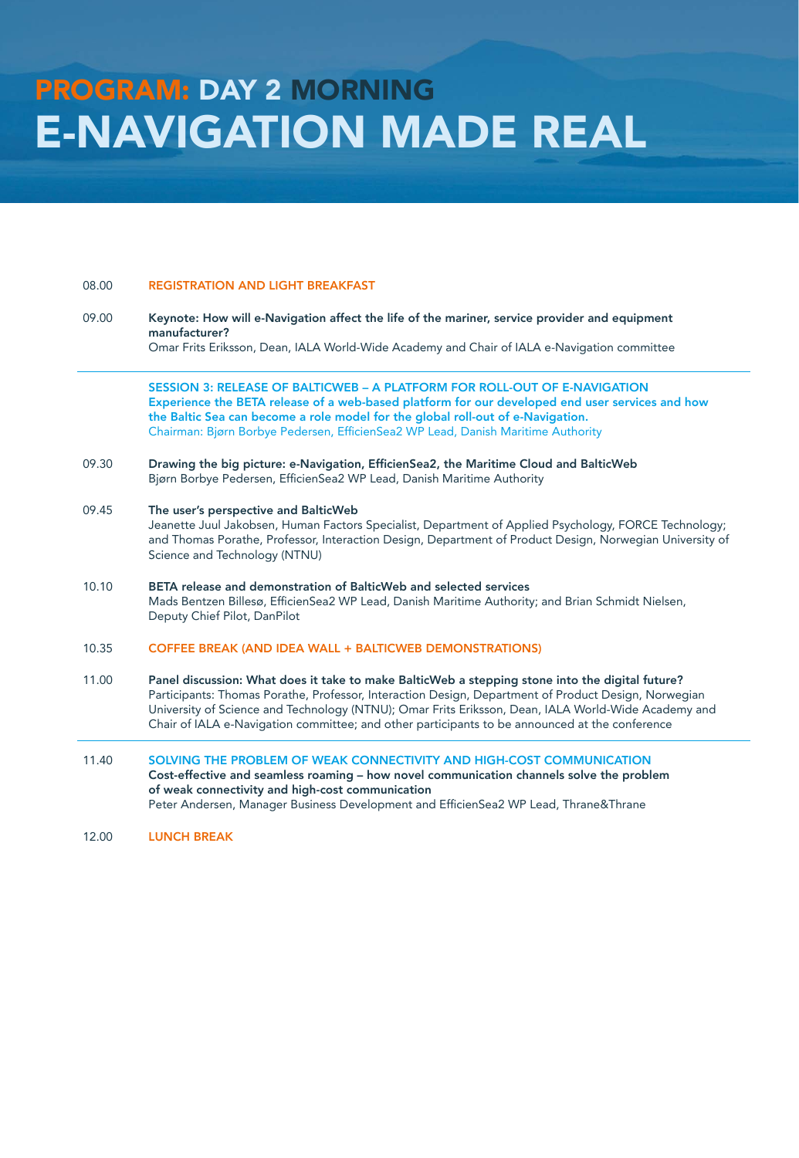### 08.00 REGISTRATION AND LIGHT BREAKFAST

09.00 Keynote: How will e-Navigation affect the life of the mariner, service provider and equipment manufacturer?

Omar Frits Eriksson, Dean, IALA World-Wide Academy and Chair of IALA e-Navigation committee

SESSION 3: RELEASE OF BALTICWEB – A PLATFORM FOR ROLL-OUT OF E-NAVIGATION Experience the BETA release of a web-based platform for our developed end user services and how the Baltic Sea can become a role model for the global roll-out of e-Navigation. Chairman: Bjørn Borbye Pedersen, EfficienSea2 WP Lead, Danish Maritime Authority

09.30 Drawing the big picture: e-Navigation, EfficienSea2, the Maritime Cloud and BalticWeb Bjørn Borbye Pedersen, EfficienSea2 WP Lead, Danish Maritime Authority

#### 09.45 The user's perspective and BalticWeb

Jeanette Juul Jakobsen, Human Factors Specialist, Department of Applied Psychology, FORCE Technology; and Thomas Porathe, Professor, Interaction Design, Department of Product Design, Norwegian University of Science and Technology (NTNU)

10.10 BETA release and demonstration of BalticWeb and selected services Mads Bentzen Billesø, EfficienSea2 WP Lead, Danish Maritime Authority; and Brian Schmidt Nielsen, Deputy Chief Pilot, DanPilot

### 10.35 COFFEE BREAK (AND IDEA WALL + BALTICWEB DEMONSTRATIONS)

- 11.00 Panel discussion: What does it take to make BalticWeb a stepping stone into the digital future? Participants: Thomas Porathe, Professor, Interaction Design, Department of Product Design, Norwegian University of Science and Technology (NTNU); Omar Frits Eriksson, Dean, IALA World-Wide Academy and Chair of IALA e-Navigation committee; and other participants to be announced at the conference
- 11.40 SOLVING THE PROBLEM OF WEAK CONNECTIVITY AND HIGH-COST COMMUNICATION Cost-effective and seamless roaming – how novel communication channels solve the problem of weak connectivity and high-cost communication Peter Andersen, Manager Business Development and EfficienSea2 WP Lead, Thrane&Thrane
- 12.00 LUNCH BREAK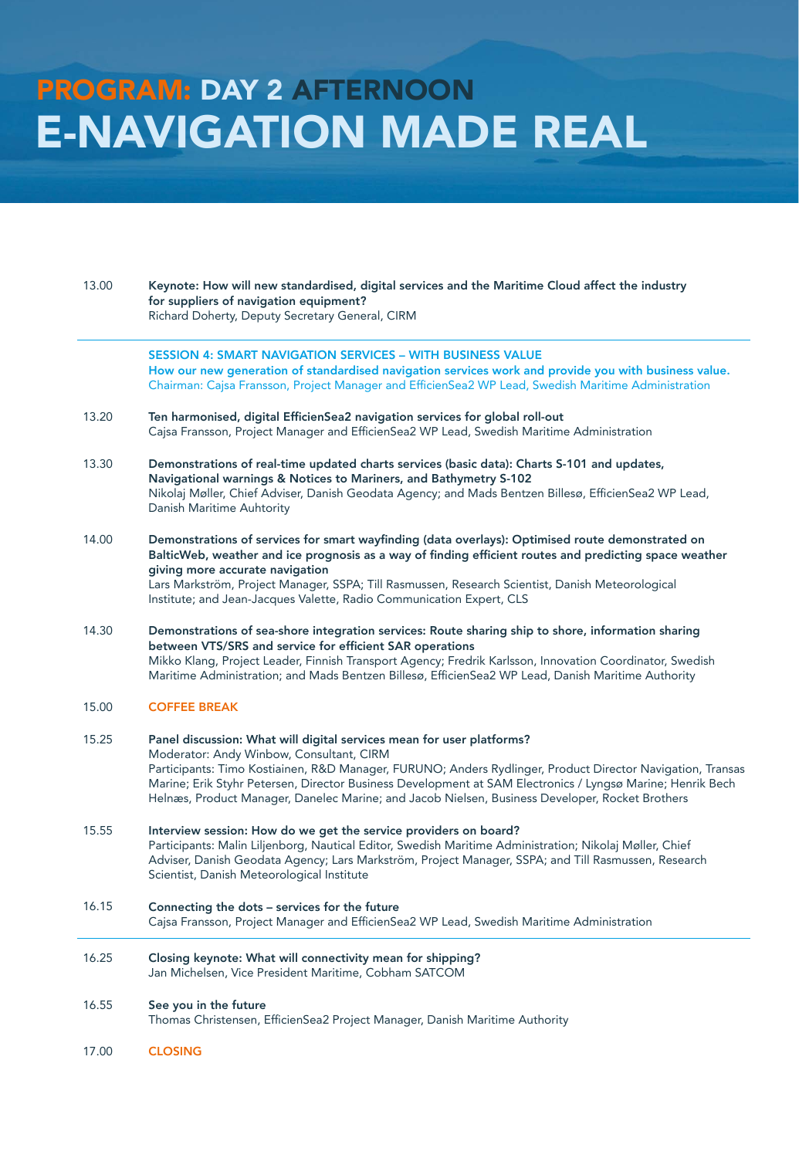# PROGRAM: DAY 2 AFTERNOON E-NAVIGATION MADE REAL

13.00 Keynote: How will new standardised, digital services and the Maritime Cloud affect the industry for suppliers of navigation equipment? Richard Doherty, Deputy Secretary General, CIRM

> SESSION 4: SMART NAVIGATION SERVICES – WITH BUSINESS VALUE How our new generation of standardised navigation services work and provide you with business value. Chairman: Cajsa Fransson, Project Manager and EfficienSea2 WP Lead, Swedish Maritime Administration

- 13.20 Ten harmonised, digital EfficienSea2 navigation services for global roll-out Cajsa Fransson, Project Manager and EfficienSea2 WP Lead, Swedish Maritime Administration
- 13.30 Demonstrations of real-time updated charts services (basic data): Charts S-101 and updates, Navigational warnings & Notices to Mariners, and Bathymetry S-102 Nikolaj Møller, Chief Adviser, Danish Geodata Agency; and Mads Bentzen Billesø, EfficienSea2 WP Lead, Danish Maritime Auhtority
- 14.00 Demonstrations of services for smart wayfinding (data overlays): Optimised route demonstrated on BalticWeb, weather and ice prognosis as a way of finding efficient routes and predicting space weather giving more accurate navigation Lars Markström, Project Manager, SSPA; Till Rasmussen, Research Scientist, Danish Meteorological Institute; and Jean-Jacques Valette, Radio Communication Expert, CLS

14.30 Demonstrations of sea-shore integration services: Route sharing ship to shore, information sharing between VTS/SRS and service for efficient SAR operations Mikko Klang, Project Leader, Finnish Transport Agency; Fredrik Karlsson, Innovation Coordinator, Swedish Maritime Administration; and Mads Bentzen Billesø, EfficienSea2 WP Lead, Danish Maritime Authority

15.00 COFFEE BREAK

### 15.25 Panel discussion: What will digital services mean for user platforms? Moderator: Andy Winbow, Consultant, CIRM Participants: Timo Kostiainen, R&D Manager, FURUNO; Anders Rydlinger, Product Director Navigation, Transas Marine; Erik Styhr Petersen, Director Business Development at SAM Electronics / Lyngsø Marine; Henrik Bech Helnæs, Product Manager, Danelec Marine; and Jacob Nielsen, Business Developer, Rocket Brothers

- 15.55 Interview session: How do we get the service providers on board? Participants: Malin Liljenborg, Nautical Editor, Swedish Maritime Administration; Nikolaj Møller, Chief Adviser, Danish Geodata Agency; Lars Markström, Project Manager, SSPA; and Till Rasmussen, Research Scientist, Danish Meteorological Institute
- 16.15 Connecting the dots services for the future Cajsa Fransson, Project Manager and EfficienSea2 WP Lead, Swedish Maritime Administration
- 16.25 Closing keynote: What will connectivity mean for shipping? Jan Michelsen, Vice President Maritime, Cobham SATCOM

### 16.55 See you in the future

Thomas Christensen, EfficienSea2 Project Manager, Danish Maritime Authority

17.00 CLOSING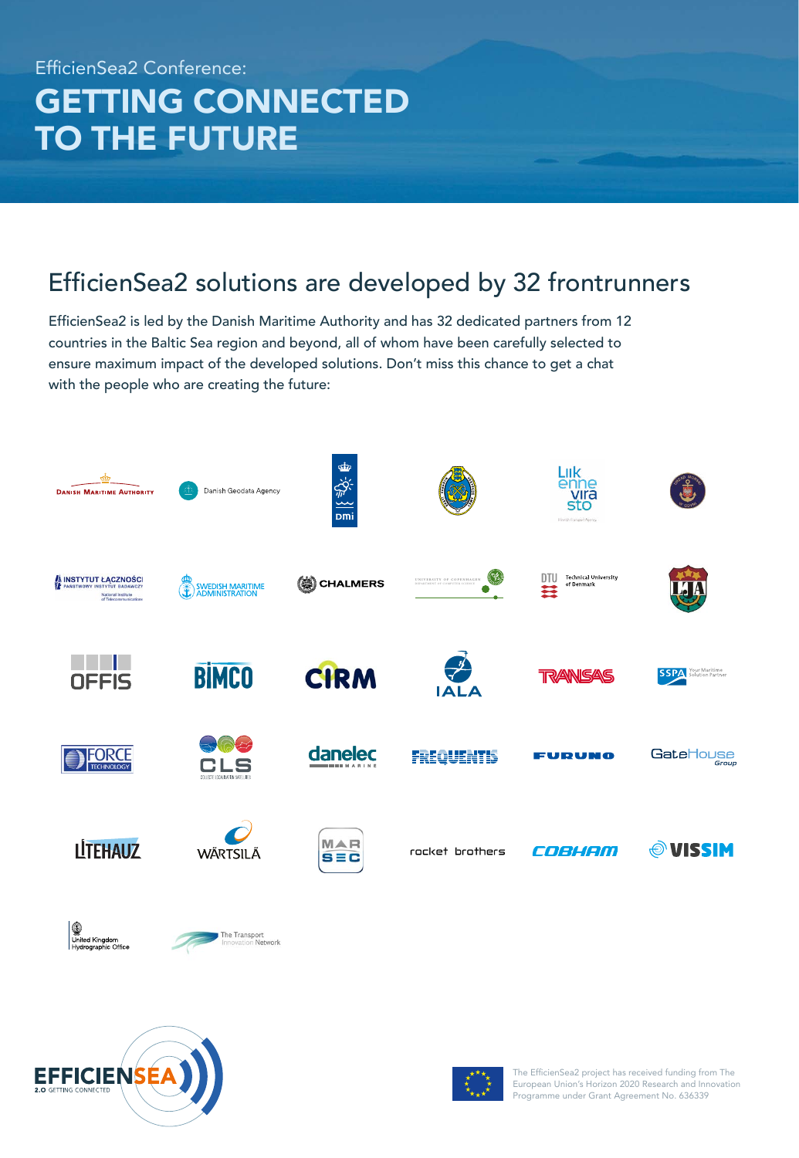### EfficienSea2 Conference: GETTING CONNECTED TO THE FUTURE

### EfficienSea2 solutions are developed by 32 frontrunners

EfficienSea2 is led by the Danish Maritime Authority and has 32 dedicated partners from 12 countries in the Baltic Sea region and beyond, all of whom have been carefully selected to ensure maximum impact of the developed solutions. Don't miss this chance to get a chat with the people who are creating the future:







The EfficienSea2 project has received funding from The European Union's Horizon 2020 Research and Innovation Programme under Grant Agreement No. 636339